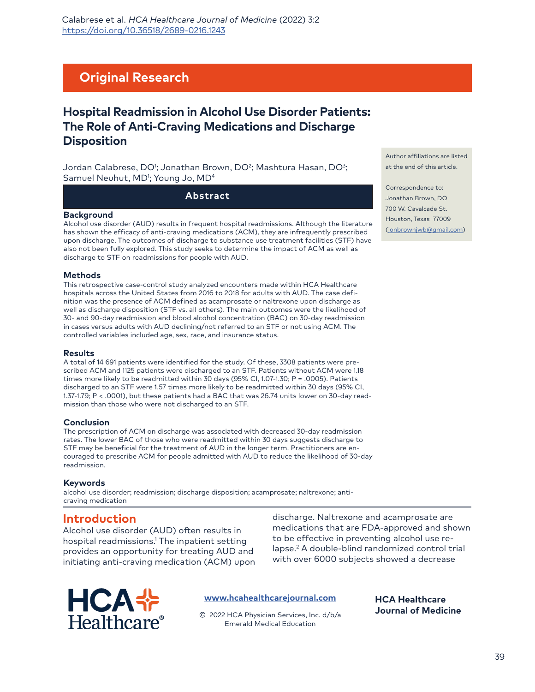Calabrese et al. *HCA Healthcare Journal of Medicine* (2022) 3:2 [https://doi.org/10.36518/2689-0216.1](http://doi.org/10.36518/2689-0216.1243)243

# **Original Research**

# **Hospital Readmission in Alcohol Use Disorder Patients: The Role of Anti-Craving Medications and Discharge Disposition**

Jordan Calabrese, DO<sup>1</sup>; Jonathan Brown, DO<sup>2</sup>; Mashtura Hasan, DO<sup>3</sup>; Samuel Neuhut, MD<sup>1</sup>; Young Jo, MD<sup>4</sup>

#### **Abstract**

#### **Background**

Alcohol use disorder (AUD) results in frequent hospital readmissions. Although the literature has shown the efficacy of anti-craving medications (ACM), they are infrequently prescribed upon discharge. The outcomes of discharge to substance use treatment facilities (STF) have also not been fully explored. This study seeks to determine the impact of ACM as well as discharge to STF on readmissions for people with AUD.

#### **Methods**

This retrospective case-control study analyzed encounters made within HCA Healthcare hospitals across the United States from 2016 to 2018 for adults with AUD. The case definition was the presence of ACM defined as acamprosate or naltrexone upon discharge as well as discharge disposition (STF vs. all others). The main outcomes were the likelihood of 30- and 90-day readmission and blood alcohol concentration (BAC) on 30-day readmission in cases versus adults with AUD declining/not referred to an STF or not using ACM. The controlled variables included age, sex, race, and insurance status.

#### **Results**

A total of 14 691 patients were identified for the study. Of these, 3308 patients were prescribed ACM and 1125 patients were discharged to an STF. Patients without ACM were 1.18 times more likely to be readmitted within 30 days (95% CI, 1.07-1.30; P = .0005). Patients discharged to an STF were 1.57 times more likely to be readmitted within 30 days (95% CI, 1.37-1.79; P < .0001), but these patients had a BAC that was 26.74 units lower on 30-day readmission than those who were not discharged to an STF.

#### **Conclusion**

The prescription of ACM on discharge was associated with decreased 30-day readmission rates. The lower BAC of those who were readmitted within 30 days suggests discharge to STF may be beneficial for the treatment of AUD in the longer term. Practitioners are encouraged to prescribe ACM for people admitted with AUD to reduce the likelihood of 30-day readmission.

#### **Keywords**

alcohol use disorder; readmission; discharge disposition; acamprosate; naltrexone; anticraving medication

## **Introduction**

Alcohol use disorder (AUD) often results in hospital readmissions.1 The inpatient setting provides an opportunity for treating AUD and initiating anti-craving medication (ACM) upon discharge. Naltrexone and acamprosate are medications that are FDA-approved and shown to be effective in preventing alcohol use relapse.2 A double-blind randomized control trial with over 6000 subjects showed a decrease

> **HCA Healthcare Journal of Medicine**



#### **[www.hcahealthcarejournal.com](http://www.hcahealthcarejournal.com)**

© 2022 HCA Physician Services, Inc. d/b/a Emerald Medical Education

Author affiliations are listed at the end of this article.

Correspondence to: Jonathan Brown, DO 700 W. Cavalcade St. [Houston, Texas 77009](mailto:jonbrownjwb%40gmail.com?subject=) (jonbrownjwb@gmail.com)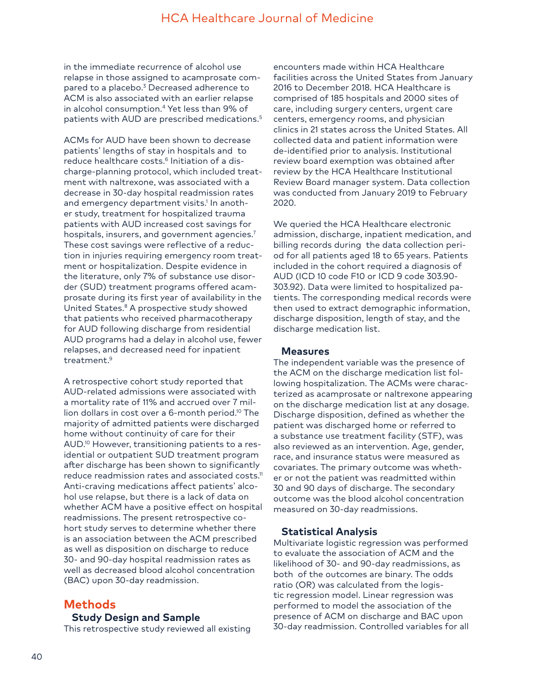in the immediate recurrence of alcohol use relapse in those assigned to acamprosate compared to a placebo.<sup>3</sup> Decreased adherence to ACM is also associated with an earlier relapse in alcohol consumption.4 Yet less than 9% of patients with AUD are prescribed medications.<sup>5</sup>

ACMs for AUD have been shown to decrease patients' lengths of stay in hospitals and to reduce healthcare costs.<sup>6</sup> Initiation of a discharge-planning protocol, which included treatment with naltrexone, was associated with a decrease in 30-day hospital readmission rates and emergency department visits.<sup>1</sup> In another study, treatment for hospitalized trauma patients with AUD increased cost savings for hospitals, insurers, and government agencies.<sup>7</sup> These cost savings were reflective of a reduction in injuries requiring emergency room treatment or hospitalization. Despite evidence in the literature, only 7% of substance use disorder (SUD) treatment programs offered acamprosate during its first year of availability in the United States.8 A prospective study showed that patients who received pharmacotherapy for AUD following discharge from residential AUD programs had a delay in alcohol use, fewer relapses, and decreased need for inpatient treatment.<sup>9</sup>

A retrospective cohort study reported that AUD-related admissions were associated with a mortality rate of 11% and accrued over 7 million dollars in cost over a 6-month period.<sup>10</sup> The majority of admitted patients were discharged home without continuity of care for their AUD.<sup>10</sup> However, transitioning patients to a residential or outpatient SUD treatment program after discharge has been shown to significantly reduce readmission rates and associated costs.<sup>11</sup> Anti-craving medications affect patients' alcohol use relapse, but there is a lack of data on whether ACM have a positive effect on hospital readmissions. The present retrospective cohort study serves to determine whether there is an association between the ACM prescribed as well as disposition on discharge to reduce 30- and 90-day hospital readmission rates as well as decreased blood alcohol concentration (BAC) upon 30-day readmission.

# **Methods**

### **Study Design and Sample**

This retrospective study reviewed all existing

encounters made within HCA Healthcare facilities across the United States from January 2016 to December 2018. HCA Healthcare is comprised of 185 hospitals and 2000 sites of care, including surgery centers, urgent care centers, emergency rooms, and physician clinics in 21 states across the United States. All collected data and patient information were de-identified prior to analysis. Institutional review board exemption was obtained after review by the HCA Healthcare Institutional Review Board manager system. Data collection was conducted from January 2019 to February 2020.

We queried the HCA Healthcare electronic admission, discharge, inpatient medication, and billing records during the data collection period for all patients aged 18 to 65 years. Patients included in the cohort required a diagnosis of AUD (ICD 10 code F10 or ICD 9 code 303.90- 303.92). Data were limited to hospitalized patients. The corresponding medical records were then used to extract demographic information, discharge disposition, length of stay, and the discharge medication list.

### **Measures**

The independent variable was the presence of the ACM on the discharge medication list following hospitalization. The ACMs were characterized as acamprosate or naltrexone appearing on the discharge medication list at any dosage. Discharge disposition, defined as whether the patient was discharged home or referred to a substance use treatment facility (STF), was also reviewed as an intervention. Age, gender, race, and insurance status were measured as covariates. The primary outcome was whether or not the patient was readmitted within 30 and 90 days of discharge. The secondary outcome was the blood alcohol concentration measured on 30-day readmissions.

## **Statistical Analysis**

Multivariate logistic regression was performed to evaluate the association of ACM and the likelihood of 30- and 90-day readmissions, as both of the outcomes are binary. The odds ratio (OR) was calculated from the logistic regression model. Linear regression was performed to model the association of the presence of ACM on discharge and BAC upon 30-day readmission. Controlled variables for all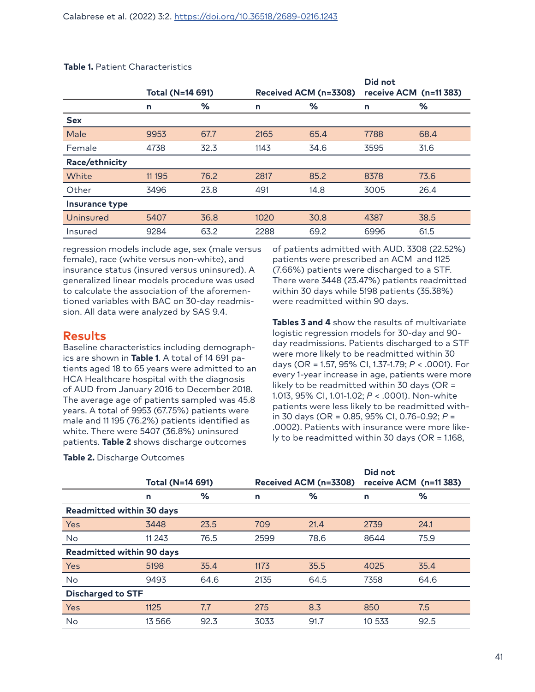|                | Total (N=14 691) |      | Received ACM (n=3308) |      | Did not<br>receive ACM (n=11 383) |      |
|----------------|------------------|------|-----------------------|------|-----------------------------------|------|
|                | n                | %    | n                     | %    | n                                 | ℅    |
| <b>Sex</b>     |                  |      |                       |      |                                   |      |
| Male           | 9953             | 67.7 | 2165                  | 65.4 | 7788                              | 68.4 |
| Female         | 4738             | 32.3 | 1143                  | 34.6 | 3595                              | 31.6 |
| Race/ethnicity |                  |      |                       |      |                                   |      |
| White          | 11 195           | 76.2 | 2817                  | 85.2 | 8378                              | 73.6 |
| Other          | 3496             | 23.8 | 491                   | 14.8 | 3005                              | 26.4 |
| Insurance type |                  |      |                       |      |                                   |      |
| Uninsured      | 5407             | 36.8 | 1020                  | 30.8 | 4387                              | 38.5 |
| Insured        | 9284             | 63.2 | 2288                  | 69.2 | 6996                              | 61.5 |

#### **Table 1.** Patient Characteristics

regression models include age, sex (male versus female), race (white versus non-white), and insurance status (insured versus uninsured). A generalized linear models procedure was used to calculate the association of the aforementioned variables with BAC on 30-day readmission. All data were analyzed by SAS 9.4.

## **Results**

Baseline characteristics including demographics are shown in **Table 1**. A total of 14 691 patients aged 18 to 65 years were admitted to an HCA Healthcare hospital with the diagnosis of AUD from January 2016 to December 2018. The average age of patients sampled was 45.8 years. A total of 9953 (67.75%) patients were male and 11 195 (76.2%) patients identified as white. There were 5407 (36.8%) uninsured patients. **Table 2** shows discharge outcomes

**Table 2.** Discharge Outcomes

of patients admitted with AUD. 3308 (22.52%) patients were prescribed an ACM and 1125 (7.66%) patients were discharged to a STF. There were 3448 (23.47%) patients readmitted within 30 days while 5198 patients (35.38%) were readmitted within 90 days.

**Tables 3 and 4** show the results of multivariate logistic regression models for 30-day and 90 day readmissions. Patients discharged to a STF were more likely to be readmitted within 30 days (OR = 1.57, 95% CI, 1.37-1.79; *P* < .0001). For every 1-year increase in age, patients were more likely to be readmitted within 30 days (OR = 1.013, 95% CI, 1.01-1.02; *P* < .0001). Non-white patients were less likely to be readmitted within 30 days (OR = 0.85, 95% CI, 0.76-0.92; *P* = .0002). Patients with insurance were more likely to be readmitted within 30 days (OR = 1.168,

|                                  | Total (N=14 691) | Received ACM (n=3308) |      | Did not<br>receive ACM (n=11 383) |        |      |
|----------------------------------|------------------|-----------------------|------|-----------------------------------|--------|------|
|                                  | n                | ℅                     | n    | ℅                                 | n      | ℅    |
| <b>Readmitted within 30 days</b> |                  |                       |      |                                   |        |      |
| Yes                              | 3448             | 23.5                  | 709  | 21.4                              | 2739   | 24.1 |
| <b>No</b>                        | 11 243           | 76.5                  | 2599 | 78.6                              | 8644   | 75.9 |
| <b>Readmitted within 90 days</b> |                  |                       |      |                                   |        |      |
| Yes                              | 5198             | 35.4                  | 1173 | 35.5                              | 4025   | 35.4 |
| No                               | 9493             | 64.6                  | 2135 | 64.5                              | 7358   | 64.6 |
| <b>Discharged to STF</b>         |                  |                       |      |                                   |        |      |
| Yes                              | 1125             | 7.7                   | 275  | 8.3                               | 850    | 7.5  |
| No                               | 13 566           | 92.3                  | 3033 | 91.7                              | 10 533 | 92.5 |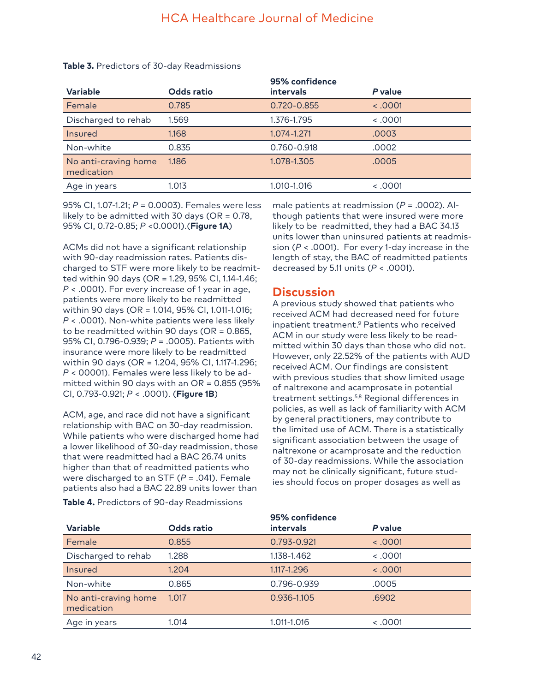|                                    |            | 95% confidence   |         |
|------------------------------------|------------|------------------|---------|
| <b>Variable</b>                    | Odds ratio | <b>intervals</b> | P value |
| Female                             | 0.785      | 0.720-0.855      | 0001    |
| Discharged to rehab                | 1.569      | 1.376-1.795      | 0001    |
| Insured                            | 1.168      | 1.074-1.271      | .0003   |
| Non-white                          | 0.835      | 0.760-0.918      | .0002   |
| No anti-craving home<br>medication | 1.186      | 1.078-1.305      | .0005   |
| Age in years                       | 1.013      | 1.010-1.016      | 0001    |
|                                    |            |                  |         |

#### **Table 3.** Predictors of 30-day Readmissions

95% CI, 1.07-1.21; *P* = 0.0003). Females were less likely to be admitted with 30 days (OR = 0.78, 95% CI, 0.72-0.85; *P* <0.0001).(**Figure 1A**)

ACMs did not have a significant relationship with 90-day readmission rates. Patients discharged to STF were more likely to be readmitted within 90 days (OR = 1.29, 95% CI, 1.14-1.46; *P* < .0001). For every increase of 1 year in age, patients were more likely to be readmitted within 90 days (OR = 1.014, 95% CI, 1.011-1.016; *P* < .0001). Non-white patients were less likely to be readmitted within 90 days (OR = 0.865, 95% CI, 0.796-0.939; *P* = .0005). Patients with insurance were more likely to be readmitted within 90 days (OR = 1.204, 95% CI, 1.117-1.296; *P* < 00001). Females were less likely to be admitted within 90 days with an OR = 0.855 (95% CI, 0.793-0.921; *P* < .0001). (**Figure 1B**)

ACM, age, and race did not have a significant relationship with BAC on 30-day readmission. While patients who were discharged home had a lower likelihood of 30-day readmission, those that were readmitted had a BAC 26.74 units higher than that of readmitted patients who were discharged to an STF (*P* = .041). Female patients also had a BAC 22.89 units lower than

**Table 4.** Predictors of 90-day Readmissions

male patients at readmission (*P* = .0002). Although patients that were insured were more likely to be readmitted, they had a BAC 34.13 units lower than uninsured patients at readmission (*P* < .0001). For every 1-day increase in the length of stay, the BAC of readmitted patients decreased by 5.11 units (*P* < .0001).

## **Discussion**

A previous study showed that patients who received ACM had decreased need for future inpatient treatment.9 Patients who received ACM in our study were less likely to be readmitted within 30 days than those who did not. However, only 22.52% of the patients with AUD received ACM. Our findings are consistent with previous studies that show limited usage of naltrexone and acamprosate in potential treatment settings.5,8 Regional differences in policies, as well as lack of familiarity with ACM by general practitioners, may contribute to the limited use of ACM. There is a statistically significant association between the usage of naltrexone or acamprosate and the reduction of 30-day readmissions. While the association may not be clinically significant, future studies should focus on proper dosages as well as

|                                    |            | 95% confidence   |         |
|------------------------------------|------------|------------------|---------|
| <b>Variable</b>                    | Odds ratio | <b>intervals</b> | P value |
| Female                             | 0.855      | 0.793-0.921      | 0001    |
| Discharged to rehab                | 1.288      | 1.138-1.462      | 0001    |
| Insured                            | 1.204      | 1.117-1.296      | 0001    |
| Non-white                          | 0.865      | 0.796-0.939      | .0005   |
| No anti-craving home<br>medication | 1.017      | 0.936-1.105      | .6902   |
| Age in years                       | 1.014      | 1.011-1.016      | 0001    |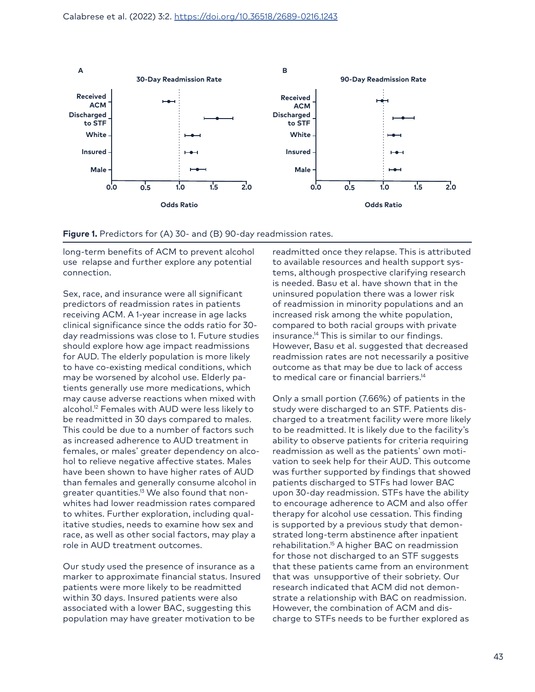

Figure 1. Predictors for (A) 30- and (B) 90-day readmission rates.

long-term benefits of ACM to prevent alcohol use relapse and further explore any potential connection.

Sex, race, and insurance were all significant predictors of readmission rates in patients receiving ACM. A 1-year increase in age lacks clinical significance since the odds ratio for 30 day readmissions was close to 1. Future studies should explore how age impact readmissions for AUD. The elderly population is more likely to have co-existing medical conditions, which may be worsened by alcohol use. Elderly patients generally use more medications, which may cause adverse reactions when mixed with alcohol.<sup>12</sup> Females with AUD were less likely to be readmitted in 30 days compared to males. This could be due to a number of factors such as increased adherence to AUD treatment in females, or males' greater dependency on alcohol to relieve negative affective states. Males have been shown to have higher rates of AUD than females and generally consume alcohol in greater quantities.<sup>13</sup> We also found that nonwhites had lower readmission rates compared to whites. Further exploration, including qualitative studies, needs to examine how sex and race, as well as other social factors, may play a role in AUD treatment outcomes.

Our study used the presence of insurance as a marker to approximate financial status. Insured patients were more likely to be readmitted within 30 days. Insured patients were also associated with a lower BAC, suggesting this population may have greater motivation to be

readmitted once they relapse. This is attributed to available resources and health support systems, although prospective clarifying research is needed. Basu et al. have shown that in the uninsured population there was a lower risk of readmission in minority populations and an increased risk among the white population, compared to both racial groups with private insurance.14 This is similar to our findings. However, Basu et al. suggested that decreased readmission rates are not necessarily a positive outcome as that may be due to lack of access to medical care or financial barriers.<sup>14</sup>

Only a small portion (7.66%) of patients in the study were discharged to an STF. Patients discharged to a treatment facility were more likely to be readmitted. It is likely due to the facility's ability to observe patients for criteria requiring readmission as well as the patients' own motivation to seek help for their AUD. This outcome was further supported by findings that showed patients discharged to STFs had lower BAC upon 30-day readmission. STFs have the ability to encourage adherence to ACM and also offer therapy for alcohol use cessation. This finding is supported by a previous study that demonstrated long-term abstinence after inpatient rehabilitation.15 A higher BAC on readmission for those not discharged to an STF suggests that these patients came from an environment that was unsupportive of their sobriety. Our research indicated that ACM did not demonstrate a relationship with BAC on readmission. However, the combination of ACM and discharge to STFs needs to be further explored as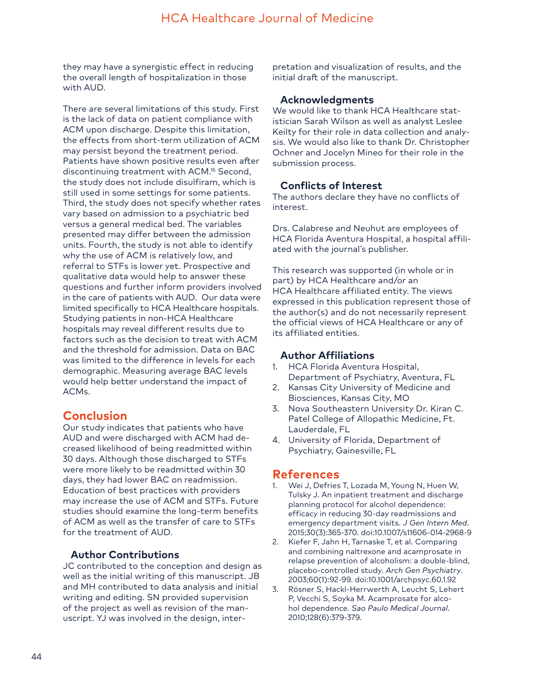they may have a synergistic effect in reducing the overall length of hospitalization in those with AUD.

There are several limitations of this study. First is the lack of data on patient compliance with ACM upon discharge. Despite this limitation, the effects from short-term utilization of ACM may persist beyond the treatment period. Patients have shown positive results even after discontinuing treatment with ACM.16 Second, the study does not include disulfiram, which is still used in some settings for some patients. Third, the study does not specify whether rates vary based on admission to a psychiatric bed versus a general medical bed. The variables presented may differ between the admission units. Fourth, the study is not able to identify why the use of ACM is relatively low, and referral to STFs is lower yet. Prospective and qualitative data would help to answer these questions and further inform providers involved in the care of patients with AUD. Our data were limited specifically to HCA Healthcare hospitals. Studying patients in non-HCA Healthcare hospitals may reveal different results due to factors such as the decision to treat with ACM and the threshold for admission. Data on BAC was limited to the difference in levels for each demographic. Measuring average BAC levels would help better understand the impact of ACMs.

## **Conclusion**

Our study indicates that patients who have AUD and were discharged with ACM had decreased likelihood of being readmitted within 30 days. Although those discharged to STFs were more likely to be readmitted within 30 days, they had lower BAC on readmission. Education of best practices with providers may increase the use of ACM and STFs. Future studies should examine the long-term benefits of ACM as well as the transfer of care to STFs for the treatment of AUD.

## **Author Contributions**

JC contributed to the conception and design as well as the initial writing of this manuscript. JB and MH contributed to data analysis and initial writing and editing. SN provided supervision of the project as well as revision of the manuscript. YJ was involved in the design, interpretation and visualization of results, and the initial draft of the manuscript.

## **Acknowledgments**

We would like to thank HCA Healthcare statistician Sarah Wilson as well as analyst Leslee Keilty for their role in data collection and analysis. We would also like to thank Dr. Christopher Ochner and Jocelyn Mineo for their role in the submission process.

## **Conflicts of Interest**

The authors declare they have no conflicts of interest.

Drs. Calabrese and Neuhut are employees of HCA Florida Aventura Hospital, a hospital affiliated with the journal's publisher.

This research was supported (in whole or in part) by HCA Healthcare and/or an HCA Healthcare affiliated entity. The views expressed in this publication represent those of the author(s) and do not necessarily represent the official views of HCA Healthcare or any of its affiliated entities.

## **Author Affiliations**

- 1. HCA Florida Aventura Hospital, Department of Psychiatry, Aventura, FL
- 2. Kansas City University of Medicine and Biosciences, Kansas City, MO
- 3. Nova Southeastern University Dr. Kiran C. Patel College of Allopathic Medicine, Ft. Lauderdale, FL
- 4. University of Florida, Department of Psychiatry, Gainesville, FL

# **References**

- Wei J, Defries T, Lozada M, Young N, Huen W, Tulsky J. An inpatient treatment and discharge planning protocol for alcohol dependence: efficacy in reducing 30-day readmissions and emergency department visits. *J Gen Intern Med*. 2015;30(3):365-370. doi:10.1007/s11606-014-2968-9
- 2. Kiefer F, Jahn H, Tarnaske T, et al. Comparing and combining naltrexone and acamprosate in relapse prevention of alcoholism: a double-blind, placebo-controlled study. *Arch Gen Psychiatry*. 2003;60(1):92-99. doi:10.1001/archpsyc.60.1.92
- 3. Rösner S, Hackl-Herrwerth A, Leucht S, Lehert P, Vecchi S, Soyka M. Acamprosate for alcohol dependence. *Sao Paulo Medical Journal*. 2010;128(6):379-379.